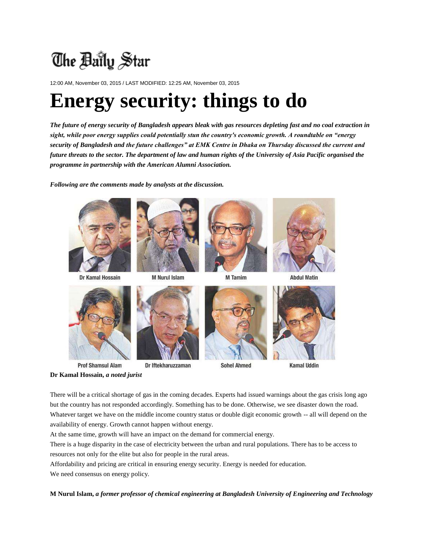## The Baily Star

12:00 AM, November 03, 2015 / LAST MODIFIED: 12:25 AM, November 03, 2015

### **Energy security: things to do**

*The future of energy security of Bangladesh appears bleak with gas resources depleting fast and no coal extraction in sight, while poor energy supplies could potentially stun the country's economic growth. A roundtable on "energy security of Bangladesh and the future challenges" at EMK Centre in Dhaka on Thursday discussed the current and future threats to the sector. The department of law and human rights of the University of Asia Pacific organised the programme in partnership with the American Alumni Association.*

*Following are the comments made by analysts at the discussion.*



Dr Kamal Hossain



M Nurul Islam



**M** Tamim



**Abdul Matin** 





**Prof Shamsul Alam** Dr Iftekharuzzaman **Dr Kamal Hossain,** *a noted jurist*



**Sohel Ahmed** 



**Kamal Uddin** 

There will be a critical shortage of gas in the coming decades. Experts had issued warnings about the gas crisis long ago but the country has not responded accordingly. Something has to be done. Otherwise, we see disaster down the road. Whatever target we have on the middle income country status or double digit economic growth -- all will depend on the availability of energy. Growth cannot happen without energy.

At the same time, growth will have an impact on the demand for commercial energy.

There is a huge disparity in the case of electricity between the urban and rural populations. There has to be access to resources not only for the elite but also for people in the rural areas.

Affordability and pricing are critical in ensuring energy security. Energy is needed for education.

We need consensus on energy policy.

**M Nurul Islam,** *a former professor of chemical engineering at Bangladesh University of Engineering and Technology*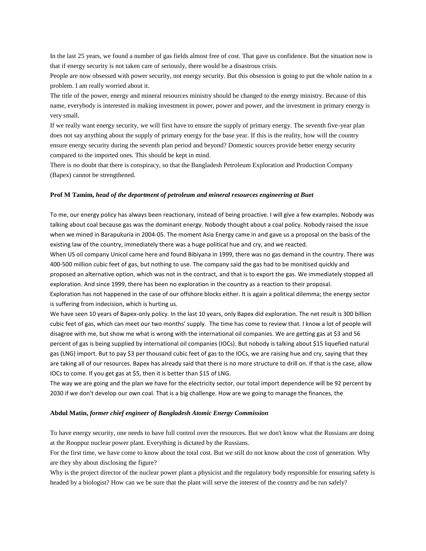In the last 25 years, we found a number of gas fields almost free of cost. That gave us confidence. But the situation now is that if energy security is not taken care of seriously, there would be a disastrous crisis.

People are now obsessed with power security, not energy security. But this obsession is going to put the whole nation in a problem. I am really worried about it.

The title of the power, energy and mineral resources ministry should be changed to the energy ministry. Because of this name, everybody is interested in making investment in power, power and power, and the investment in primary energy is very small.

If we really want energy security, we will first have to ensure the supply of primary energy. The seventh five-year plan does not say anything about the supply of primary energy for the base year. If this is the reality, how will the country ensure energy security during the seventh plan period and beyond? Domestic sources provide better energy security compared to the imported ones. This should be kept in mind.

There is no doubt that there is conspiracy, so that the Bangladesh Petroleum Exploration and Production Company (Bapex) cannot be strengthened.

#### **Prof M Tamim,** *head of the department of petroleum and mineral resources engineering at Buet*

To me, our energy policy has always been reactionary, instead of being proactive. I will give a few examples. Nobody was talking about coal because gas was the dominant energy. Nobody thought about a coal policy. Nobody raised the issue when we mined in Barapukuria in 2004-05. The moment Asia Energy came in and gave us a proposal on the basis of the existing law of the country, immediately there was a huge political hue and cry, and we reacted.

When US oil company Unicol came here and found Bibiyana in 1999, there was no gas demand in the country. There was 400-500 million cubic feet of gas, but nothing to use. The company said the gas had to be monitised quickly and proposed an alternative option, which was not in the contract, and that is to export the gas. We immediately stopped all exploration. And since 1999, there has been no exploration in the country as a reaction to their proposal.

Exploration has not happened in the case of our offshore blocks either. It is again a political dilemma; the energy sector is suffering from indecision, which is hurting us.

We have seen 10 years of Bapex-only policy. In the last 10 years, only Bapex did exploration. The net result is 300 billion cubic feet of gas, which can meet our two months' supply. The time has come to review that. I know a lot of people will disagree with me, but show me what is wrong with the international oil companies. We are getting gas at \$3 and 56 percent of gas is being supplied by international oil companies (IOCs). But nobody is talking about \$15 liquefied natural gas (LNG) import. But to pay \$3 per thousand cubic feet of gas to the IOCs, we are raising hue and cry, saying that they are taking all of our resources. Bapex has already said that there is no more structure to drill on. If that is the case, allow IOCs to come. If you get gas at \$5, then it is better than \$15 of LNG.

The way we are going and the plan we have for the electricity sector, our total import dependence will be 92 percent by 2030 if we don't develop our own coal. That is a big challenge. How are we going to manage the finances, the

#### **Abdul Matin,** *former chief engineer of Bangladesh Atomic Energy Commission*

To have energy security, one needs to have full control over the resources. But we don't know what the Russians are doing at the Rooppur nuclear power plant. Everything is dictated by the Russians.

For the first time, we have come to know about the total cost. But we still do not know about the cost of generation. Why are they shy about disclosing the figure?

Why is the project director of the nuclear power plant a physicist and the regulatory body responsible for ensuring safety is headed by a biologist? How can we be sure that the plant will serve the interest of the country and be run safely?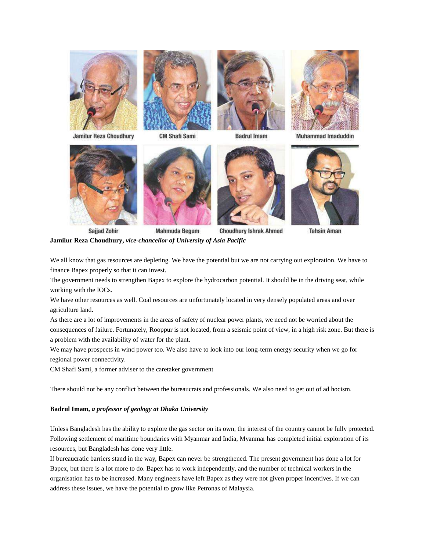

**Jamilur Reza Choudhury** 



**CM Shafi Sami** 



**Badrul Imam** 



Muhammad Imaduddin



**Sajjad Zohir** 





**Choudhury Ishrak Ahmed** 



**Tahsin Aman** 

**Jamilur Reza Choudhury,** *vice-chancellor of University of Asia Pacific*

We all know that gas resources are depleting. We have the potential but we are not carrying out exploration. We have to finance Bapex properly so that it can invest.

The government needs to strengthen Bapex to explore the hydrocarbon potential. It should be in the driving seat, while working with the IOCs.

We have other resources as well. Coal resources are unfortunately located in very densely populated areas and over agriculture land.

As there are a lot of improvements in the areas of safety of nuclear power plants, we need not be worried about the consequences of failure. Fortunately, Rooppur is not located, from a seismic point of view, in a high risk zone. But there is a problem with the availability of water for the plant.

We may have prospects in wind power too. We also have to look into our long-term energy security when we go for regional power connectivity.

CM Shafi Sami, a former adviser to the caretaker government

There should not be any conflict between the bureaucrats and professionals. We also need to get out of ad hocism.

#### **Badrul Imam,** *a professor of geology at Dhaka University*

Unless Bangladesh has the ability to explore the gas sector on its own, the interest of the country cannot be fully protected. Following settlement of maritime boundaries with Myanmar and India, Myanmar has completed initial exploration of its resources, but Bangladesh has done very little.

If bureaucratic barriers stand in the way, Bapex can never be strengthened. The present government has done a lot for Bapex, but there is a lot more to do. Bapex has to work independently, and the number of technical workers in the organisation has to be increased. Many engineers have left Bapex as they were not given proper incentives. If we can address these issues, we have the potential to grow like Petronas of Malaysia.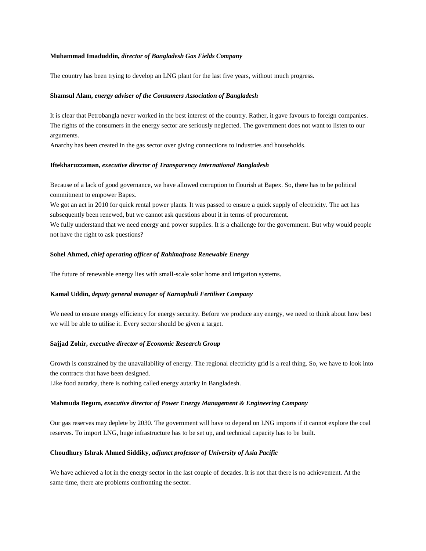#### **Muhammad Imaduddin,** *director of Bangladesh Gas Fields Company*

The country has been trying to develop an LNG plant for the last five years, without much progress.

#### **Shamsul Alam,** *energy adviser of the Consumers Association of Bangladesh*

It is clear that Petrobangla never worked in the best interest of the country. Rather, it gave favours to foreign companies. The rights of the consumers in the energy sector are seriously neglected. The government does not want to listen to our arguments.

Anarchy has been created in the gas sector over giving connections to industries and households.

#### **Iftekharuzzaman,** *executive director of Transparency International Bangladesh*

Because of a lack of good governance, we have allowed corruption to flourish at Bapex. So, there has to be political commitment to empower Bapex.

We got an act in 2010 for quick rental power plants. It was passed to ensure a quick supply of electricity. The act has subsequently been renewed, but we cannot ask questions about it in terms of procurement.

We fully understand that we need energy and power supplies. It is a challenge for the government. But why would people not have the right to ask questions?

#### **Sohel Ahmed,** *chief operating officer of Rahimafrooz Renewable Energy*

The future of renewable energy lies with small-scale solar home and irrigation systems.

#### **Kamal Uddin,** *deputy general manager of Karnaphuli Fertiliser Company*

We need to ensure energy efficiency for energy security. Before we produce any energy, we need to think about how best we will be able to utilise it. Every sector should be given a target.

#### **Sajjad Zohir,** *executive director of Economic Research Group*

Growth is constrained by the unavailability of energy. The regional electricity grid is a real thing. So, we have to look into the contracts that have been designed.

Like food autarky, there is nothing called energy autarky in Bangladesh.

#### **Mahmuda Begum,** *executive director of Power Energy Management & Engineering Company*

Our gas reserves may deplete by 2030. The government will have to depend on LNG imports if it cannot explore the coal reserves. To import LNG, huge infrastructure has to be set up, and technical capacity has to be built.

#### **Choudhury Ishrak Ahmed Siddiky,** *adjunct professor of University of Asia Pacific*

We have achieved a lot in the energy sector in the last couple of decades. It is not that there is no achievement. At the same time, there are problems confronting the sector.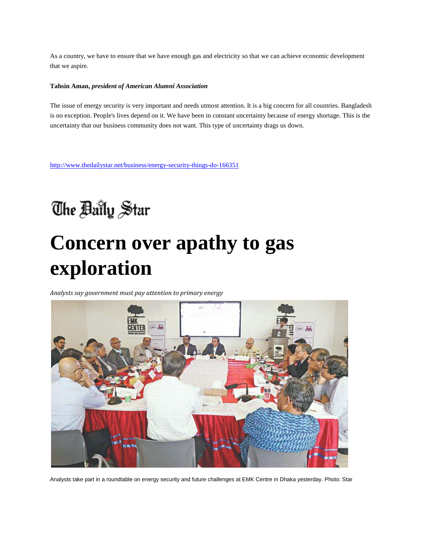As a country, we have to ensure that we have enough gas and electricity so that we can achieve economic development that we aspire.

#### **Tahsin Aman,** *president of American Alumni Association*

The issue of energy security is very important and needs utmost attention. It is a big concern for all countries. Bangladesh is no exception. People's lives depend on it. We have been in constant uncertainty because of energy shortage. This is the uncertainty that our business community does not want. This type of uncertainty drags us down.

<http://www.thedailystar.net/business/energy-security-things-do-166351>

### The Baily Star

# **Concern over apathy to gas exploration**

*Analysts say government must pay attention to primary energy*



Analysts take part in a roundtable on energy security and future challenges at EMK Centre in Dhaka yesterday. Photo: Star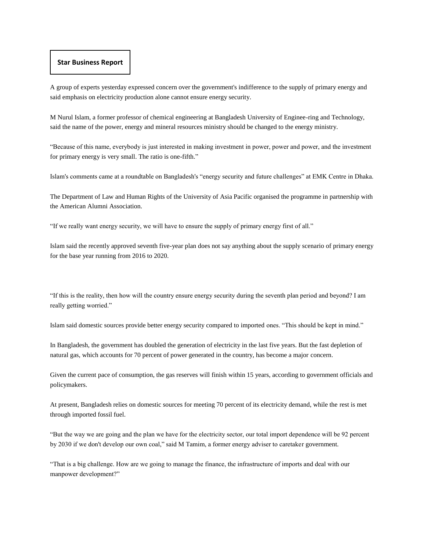#### **Star Business Report**

A group of experts yesterday expressed concern over the government's indifference to the supply of primary energy and said emphasis on electricity production alone cannot ensure energy security.

M Nurul Islam, a former professor of chemical engineering at Bangladesh University of Enginee-ring and Technology, said the name of the power, energy and mineral resources ministry should be changed to the energy ministry.

"Because of this name, everybody is just interested in making investment in power, power and power, and the investment for primary energy is very small. The ratio is one-fifth."

Islam's comments came at a roundtable on Bangladesh's "energy security and future challenges" at EMK Centre in Dhaka.

The Department of Law and Human Rights of the University of Asia Pacific organised the programme in partnership with the American Alumni Association.

"If we really want energy security, we will have to ensure the supply of primary energy first of all."

Islam said the recently approved seventh five-year plan does not say anything about the supply scenario of primary energy for the base year running from 2016 to 2020.

"If this is the reality, then how will the country ensure energy security during the seventh plan period and beyond? I am really getting worried."

Islam said domestic sources provide better energy security compared to imported ones. "This should be kept in mind."

In Bangladesh, the government has doubled the generation of electricity in the last five years. But the fast depletion of natural gas, which accounts for 70 percent of power generated in the country, has become a major concern.

Given the current pace of consumption, the gas reserves will finish within 15 years, according to government officials and policymakers.

At present, Bangladesh relies on domestic sources for meeting 70 percent of its electricity demand, while the rest is met through imported fossil fuel.

"But the way we are going and the plan we have for the electricity sector, our total import dependence will be 92 percent by 2030 if we don't develop our own coal," said M Tamim, a former energy adviser to caretaker government.

"That is a big challenge. How are we going to manage the finance, the infrastructure of imports and deal with our manpower development?"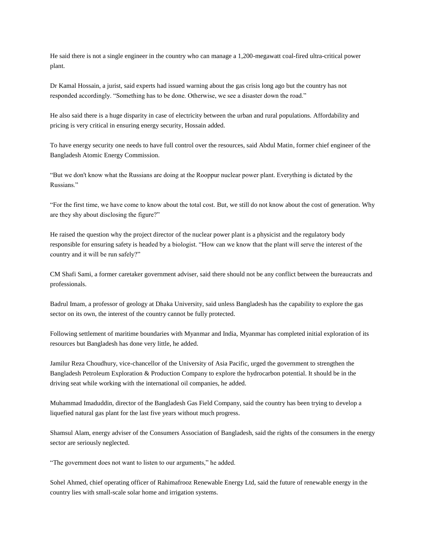He said there is not a single engineer in the country who can manage a 1,200-megawatt coal-fired ultra-critical power plant.

Dr Kamal Hossain, a jurist, said experts had issued warning about the gas crisis long ago but the country has not responded accordingly. "Something has to be done. Otherwise, we see a disaster down the road."

He also said there is a huge disparity in case of electricity between the urban and rural populations. Affordability and pricing is very critical in ensuring energy security, Hossain added.

To have energy security one needs to have full control over the resources, said Abdul Matin, former chief engineer of the Bangladesh Atomic Energy Commission.

"But we don't know what the Russians are doing at the Rooppur nuclear power plant. Everything is dictated by the Russians."

"For the first time, we have come to know about the total cost. But, we still do not know about the cost of generation. Why are they shy about disclosing the figure?"

He raised the question why the project director of the nuclear power plant is a physicist and the regulatory body responsible for ensuring safety is headed by a biologist. "How can we know that the plant will serve the interest of the country and it will be run safely?"

CM Shafi Sami, a former caretaker government adviser, said there should not be any conflict between the bureaucrats and professionals.

Badrul Imam, a professor of geology at Dhaka University, said unless Bangladesh has the capability to explore the gas sector on its own, the interest of the country cannot be fully protected.

Following settlement of maritime boundaries with Myanmar and India, Myanmar has completed initial exploration of its resources but Bangladesh has done very little, he added.

Jamilur Reza Choudhury, vice-chancellor of the University of Asia Pacific, urged the government to strengthen the Bangladesh Petroleum Exploration & Production Company to explore the hydrocarbon potential. It should be in the driving seat while working with the international oil companies, he added.

Muhammad Imaduddin, director of the Bangladesh Gas Field Company, said the country has been trying to develop a liquefied natural gas plant for the last five years without much progress.

Shamsul Alam, energy adviser of the Consumers Association of Bangladesh, said the rights of the consumers in the energy sector are seriously neglected.

"The government does not want to listen to our arguments," he added.

Sohel Ahmed, chief operating officer of Rahimafrooz Renewable Energy Ltd, said the future of renewable energy in the country lies with small-scale solar home and irrigation systems.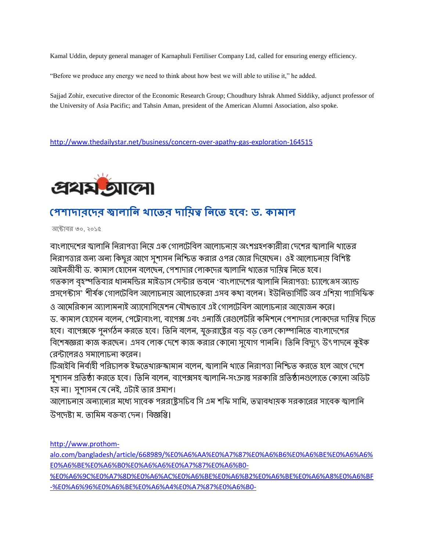Kamal Uddin, deputy general manager of Karnaphuli Fertiliser Company Ltd, called for ensuring energy efficiency.

"Before we produce any energy we need to think about how best we will able to utilise it," he added.

Sajjad Zohir, executive director of the Economic Research Group; Choudhury Ishrak Ahmed Siddiky, adjunct professor of the University of Asia Pacific; and Tahsin Aman, president of the American Alumni Association, also spoke.

<http://www.thedailystar.net/business/concern-over-apathy-gas-exploration-164515>



### **পেশাদারদদর জ্বালানি খাদের দান়িত্ব নিদে হদে: ড. কামাল**

অক্টোবর ৩০, ২০১৫

বাংলাদেশের জ্বালানি নিরাপত্তা নিমে এক গোলটেবিল আলোচনাম অংশগ্রহণকারীরা দেশের জ্বালানি থাতের নিরাপত্তার জন্য অন্য কিছুর আগে সুশাসন নিশ্চিত করার ওপর জোর দিয়েছেন। ওই আলোচনায় বিশিষ্ট আইনজীবী ড. কামাল হোসেন বলেছেন, পেশাদার লোকদের জ্বালানি থাতের দায়িত্ব নিতে হবে। গতকাল বৃহস্পতিবার ধানমন্ডির মাইডাস সেন্টার ভবনে 'বাংলাদেশের জ্বালানি নিরাপত্তা: চ্যালেঞ্জেস অ্যান্ড প্রস্পেক্টাস' শীর্ষক গোলটেবিল আলোচনায় আলোচকেরা এসব কথা বলেন। ইউনিভার্সিটি অব এশিয়া প্যাসিফিক ও আমেরিকান অ্যালামনাই অ্যাসোসিয়েশন যৌথভাবে এই গোলটেবিল আলোচনার আয়োজন করে। ড. কামাল হোসেন বলেন, পেট্রোবাংলা, বাপেক্স এবং এনার্জি রেগুলেটরি কমিশনে পেশাদার লোকদের দায়িত্ব দিতে হবে। বাপেক্সকে পুনর্গঠন করতে হবে। তিনি বলেন, যুক্তরাষ্ট্রের বড় বড় তেল কোম্পানিতে বাংলাদেশের বিশেষজ্ঞরা কাজ করছেন। এসব লোক দেশে কাজ করার কোনো সুযোগ পাননি। তিনি বিদ্যুৎ উৎপাদনে কুইক রেন্টালেরও সমালোচনা করেন।

টিআইবি নির্বাহী পরিচালক ইফতেথারুজ্জামান বলেন, জ্বালানি থাতে নিরাপত্তা নিশ্চিত করতে হলে আগে দেশে সুশাসন প্রতিষ্ঠা করতে হবে। তিনি বলেন, বাপেক্সসহ জ্বালানি-সংক্রান্ত সরকারি প্রতিষ্ঠানগুলোতে কোনো অডিট হয় না। সুশাসন যে নেই, এটাই তার প্রমাণ।

আলোচনায় অন্যান্যের মধ্যে সাবেক পররাষ্টুসচিব সি এম শকি সামি, তত্বাবধায়ক সরকারের সাবেক জ্বালানি উপদেষ্টা ম. তামিম বক্তব্য দেন। বিজ্ঞপ্তি।

[http://www.prothom-](http://www.prothom-alo.com/bangladesh/article/668989/%E0%A6%AA%E0%A7%87%E0%A6%B6%E0%A6%BE%E0%A6%A6%E0%A6%BE%E0%A6%B0%E0%A6%A6%E0%A7%87%E0%A6%B0-%E0%A6%9C%E0%A7%8D%E0%A6%AC%E0%A6%BE%E0%A6%B2%E0%A6%BE%E0%A6%A8%E0%A6%BF-%E0%A6%96%E0%A6%BE%E0%A6%A4%E0%A7%87%E0%A6%B0-%E0%A6%A6%E0%A6%BE%E0%A6%AF%E0%A6%BC%E0%A6%BF%E0%A6%A4%E0%A7%8D%E0%A6%AC-%E0%A6%A8%E0%A6%BF%E0%A6%A4%E0%A7%87-%E0%A6%B9%E0%A6%AC%E0%A7%87-%E0%A6%A1)

[alo.com/bangladesh/article/668989/%E0%A6%AA%E0%A7%87%E0%A6%B6%E0%A6%BE%E0%A6%A6%](http://www.prothom-alo.com/bangladesh/article/668989/%E0%A6%AA%E0%A7%87%E0%A6%B6%E0%A6%BE%E0%A6%A6%E0%A6%BE%E0%A6%B0%E0%A6%A6%E0%A7%87%E0%A6%B0-%E0%A6%9C%E0%A7%8D%E0%A6%AC%E0%A6%BE%E0%A6%B2%E0%A6%BE%E0%A6%A8%E0%A6%BF-%E0%A6%96%E0%A6%BE%E0%A6%A4%E0%A7%87%E0%A6%B0-%E0%A6%A6%E0%A6%BE%E0%A6%AF%E0%A6%BC%E0%A6%BF%E0%A6%A4%E0%A7%8D%E0%A6%AC-%E0%A6%A8%E0%A6%BF%E0%A6%A4%E0%A7%87-%E0%A6%B9%E0%A6%AC%E0%A7%87-%E0%A6%A1) [E0%A6%BE%E0%A6%B0%E0%A6%A6%E0%A7%87%E0%A6%B0-](http://www.prothom-alo.com/bangladesh/article/668989/%E0%A6%AA%E0%A7%87%E0%A6%B6%E0%A6%BE%E0%A6%A6%E0%A6%BE%E0%A6%B0%E0%A6%A6%E0%A7%87%E0%A6%B0-%E0%A6%9C%E0%A7%8D%E0%A6%AC%E0%A6%BE%E0%A6%B2%E0%A6%BE%E0%A6%A8%E0%A6%BF-%E0%A6%96%E0%A6%BE%E0%A6%A4%E0%A7%87%E0%A6%B0-%E0%A6%A6%E0%A6%BE%E0%A6%AF%E0%A6%BC%E0%A6%BF%E0%A6%A4%E0%A7%8D%E0%A6%AC-%E0%A6%A8%E0%A6%BF%E0%A6%A4%E0%A7%87-%E0%A6%B9%E0%A6%AC%E0%A7%87-%E0%A6%A1)

[%E0%A6%9C%E0%A7%8D%E0%A6%AC%E0%A6%BE%E0%A6%B2%E0%A6%BE%E0%A6%A8%E0%A6%BF](http://www.prothom-alo.com/bangladesh/article/668989/%E0%A6%AA%E0%A7%87%E0%A6%B6%E0%A6%BE%E0%A6%A6%E0%A6%BE%E0%A6%B0%E0%A6%A6%E0%A7%87%E0%A6%B0-%E0%A6%9C%E0%A7%8D%E0%A6%AC%E0%A6%BE%E0%A6%B2%E0%A6%BE%E0%A6%A8%E0%A6%BF-%E0%A6%96%E0%A6%BE%E0%A6%A4%E0%A7%87%E0%A6%B0-%E0%A6%A6%E0%A6%BE%E0%A6%AF%E0%A6%BC%E0%A6%BF%E0%A6%A4%E0%A7%8D%E0%A6%AC-%E0%A6%A8%E0%A6%BF%E0%A6%A4%E0%A7%87-%E0%A6%B9%E0%A6%AC%E0%A7%87-%E0%A6%A1) [-%E0%A6%96%E0%A6%BE%E0%A6%A4%E0%A7%87%E0%A6%B0-](http://www.prothom-alo.com/bangladesh/article/668989/%E0%A6%AA%E0%A7%87%E0%A6%B6%E0%A6%BE%E0%A6%A6%E0%A6%BE%E0%A6%B0%E0%A6%A6%E0%A7%87%E0%A6%B0-%E0%A6%9C%E0%A7%8D%E0%A6%AC%E0%A6%BE%E0%A6%B2%E0%A6%BE%E0%A6%A8%E0%A6%BF-%E0%A6%96%E0%A6%BE%E0%A6%A4%E0%A7%87%E0%A6%B0-%E0%A6%A6%E0%A6%BE%E0%A6%AF%E0%A6%BC%E0%A6%BF%E0%A6%A4%E0%A7%8D%E0%A6%AC-%E0%A6%A8%E0%A6%BF%E0%A6%A4%E0%A7%87-%E0%A6%B9%E0%A6%AC%E0%A7%87-%E0%A6%A1)